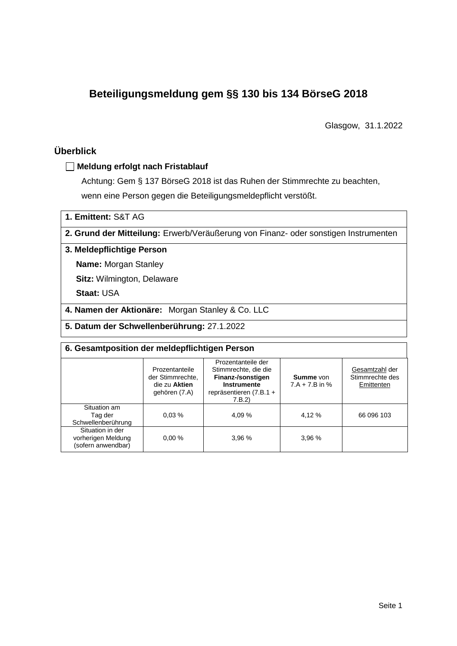# **Beteiligungsmeldung gem §§ 130 bis 134 BörseG 2018**

Glasgow, 31.1.2022

# **Überblick**

## **Meldung erfolgt nach Fristablauf**

Achtung: Gem § 137 BörseG 2018 ist das Ruhen der Stimmrechte zu beachten, wenn eine Person gegen die Beteiligungsmeldepflicht verstößt.

**1. Emittent:** S&T AG

**2. Grund der Mitteilung:** Erwerb/Veräußerung von Finanz- oder sonstigen Instrumenten

### **3. Meldepflichtige Person**

**Name:** Morgan Stanley

**Sitz:** Wilmington, Delaware

**Staat:** USA

**4. Namen der Aktionäre:** Morgan Stanley & Co. LLC

**5. Datum der Schwellenberührung:** 27.1.2022

| 6. Gesamtposition der meldepflichtigen Person                |                                                                      |                                                                                                                             |                                      |                                                 |  |  |  |
|--------------------------------------------------------------|----------------------------------------------------------------------|-----------------------------------------------------------------------------------------------------------------------------|--------------------------------------|-------------------------------------------------|--|--|--|
|                                                              | Prozentanteile<br>der Stimmrechte.<br>die zu Aktien<br>gehören (7.A) | Prozentanteile der<br>Stimmrechte, die die<br>Finanz-/sonstigen<br><b>Instrumente</b><br>repräsentieren $(7.B.1 +$<br>7.B.2 | <b>Summe</b> von<br>$7.A + 7.B$ in % | Gesamtzahl der<br>Stimmrechte des<br>Emittenten |  |  |  |
| Situation am<br>Tag der<br>Schwellenberührung                | 0.03%                                                                | 4.09 %                                                                                                                      | 4,12 %                               | 66 096 103                                      |  |  |  |
| Situation in der<br>vorherigen Meldung<br>(sofern anwendbar) | 0.00%                                                                | 3,96 %                                                                                                                      | 3,96 %                               |                                                 |  |  |  |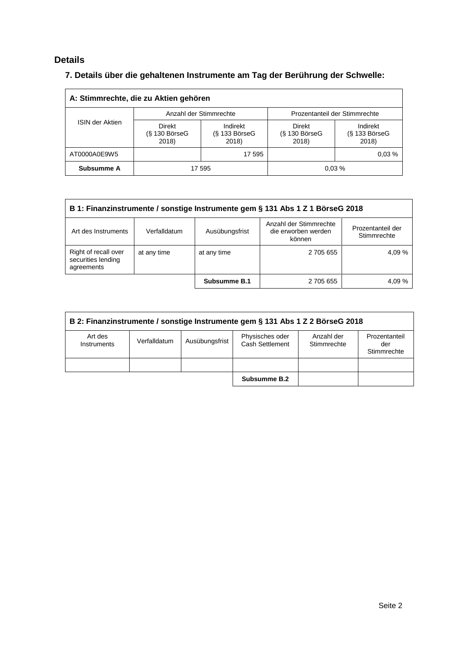# **Details**

# **7. Details über die gehaltenen Instrumente am Tag der Berührung der Schwelle:**

| A: Stimmrechte, die zu Aktien gehören |                                    |                                         |                                    |                                    |  |  |  |  |
|---------------------------------------|------------------------------------|-----------------------------------------|------------------------------------|------------------------------------|--|--|--|--|
|                                       |                                    | Anzahl der Stimmrechte                  | Prozentanteil der Stimmrechte      |                                    |  |  |  |  |
| <b>ISIN der Aktien</b>                | Direkt<br>$(S$ 130 BörseG<br>2018) | Indirekt<br>$(S$ 133 Börse $G$<br>2018) | Direkt<br>$(S$ 130 BörseG<br>2018) | Indirekt<br>(§ 133 BörseG<br>2018) |  |  |  |  |
| AT0000A0E9W5                          |                                    | 17 595                                  |                                    | 0.03%                              |  |  |  |  |
| Subsumme A                            |                                    | 17 595                                  |                                    | 0.03%                              |  |  |  |  |

| B 1: Finanzinstrumente / sonstige Instrumente gem § 131 Abs 1 Z 1 BörseG 2018 |              |                |                                                         |                                  |  |  |
|-------------------------------------------------------------------------------|--------------|----------------|---------------------------------------------------------|----------------------------------|--|--|
| Art des Instruments                                                           | Verfalldatum | Ausübungsfrist | Anzahl der Stimmrechte<br>die erworben werden<br>können | Prozentanteil der<br>Stimmrechte |  |  |
| Right of recall over<br>securities lending<br>agreements                      | at any time  | at any time    | 2 705 655                                               | 4.09 %                           |  |  |
|                                                                               |              | Subsumme B.1   | 2 705 655                                               | 4,09 %                           |  |  |

| B 2: Finanzinstrumente / sonstige Instrumente gem § 131 Abs 1 Z 2 BörseG 2018 |              |                |                                    |                           |                                     |  |  |
|-------------------------------------------------------------------------------|--------------|----------------|------------------------------------|---------------------------|-------------------------------------|--|--|
| Art des<br>Instruments                                                        | Verfalldatum | Ausübungsfrist | Physisches oder<br>Cash Settlement | Anzahl der<br>Stimmrechte | Prozentanteil<br>der<br>Stimmrechte |  |  |
|                                                                               |              |                |                                    |                           |                                     |  |  |
|                                                                               |              |                | Subsumme B.2                       |                           |                                     |  |  |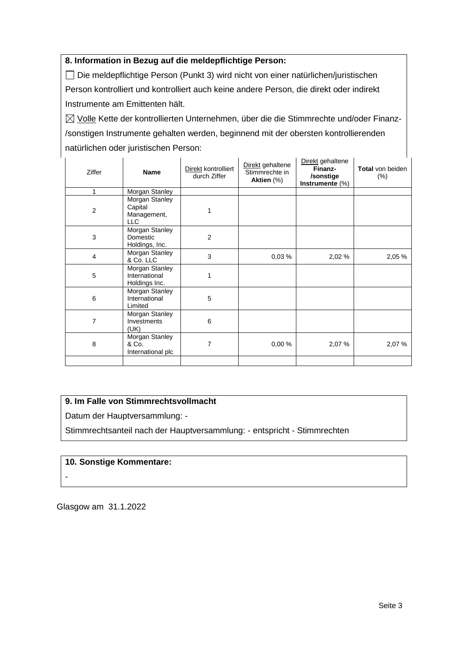## **8. Information in Bezug auf die meldepflichtige Person:**

Die meldepflichtige Person (Punkt 3) wird nicht von einer natürlichen/juristischen Person kontrolliert und kontrolliert auch keine andere Person, die direkt oder indirekt Instrumente am Emittenten hält.

 $\boxtimes$  Volle Kette der kontrollierten Unternehmen, über die die Stimmrechte und/oder Finanz-/sonstigen Instrumente gehalten werden, beginnend mit der obersten kontrollierenden natürlichen oder juristischen Person:

| Ziffer         | <b>Name</b>                                            | Direkt kontrolliert<br>durch Ziffer | Direkt gehaltene<br>Stimmrechte in<br>Aktien (%) | Direkt gehaltene<br>Finanz-<br>/sonstige<br>Instrumente (%) | <b>Total von beiden</b><br>$(\%)$ |
|----------------|--------------------------------------------------------|-------------------------------------|--------------------------------------------------|-------------------------------------------------------------|-----------------------------------|
| 1              | Morgan Stanley                                         |                                     |                                                  |                                                             |                                   |
| $\overline{c}$ | Morgan Stanley<br>Capital<br>Management,<br><b>LLC</b> |                                     |                                                  |                                                             |                                   |
| 3              | Morgan Stanley<br>Domestic<br>Holdings, Inc.           | $\overline{2}$                      |                                                  |                                                             |                                   |
| $\overline{4}$ | Morgan Stanley<br>& Co. LLC                            | 3                                   | 0,03%                                            | 2,02 %                                                      | 2,05 %                            |
| 5              | Morgan Stanley<br>International<br>Holdings Inc.       | 1                                   |                                                  |                                                             |                                   |
| 6              | Morgan Stanley<br>International<br>Limited             | 5                                   |                                                  |                                                             |                                   |
| $\overline{7}$ | Morgan Stanley<br>Investments<br>(UK)                  | 6                                   |                                                  |                                                             |                                   |
| 8              | Morgan Stanley<br>& Co.<br>International plc           | 7                                   | 0,00%                                            | 2,07 %                                                      | 2,07%                             |
|                |                                                        |                                     |                                                  |                                                             |                                   |

## **9. Im Falle von Stimmrechtsvollmacht**

Datum der Hauptversammlung: -

Stimmrechtsanteil nach der Hauptversammlung: - entspricht - Stimmrechten

### **10. Sonstige Kommentare:**

-

Glasgow am 31.1.2022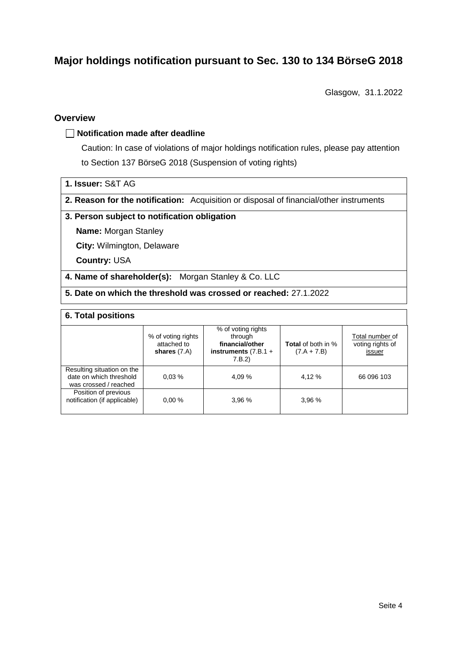# **Major holdings notification pursuant to Sec. 130 to 134 BörseG 2018**

Glasgow, 31.1.2022

### **Overview**

### **Notification made after deadline**

Caution: In case of violations of major holdings notification rules, please pay attention to Section 137 BörseG 2018 (Suspension of voting rights)

- **1. Issuer:** S&T AG
- **2. Reason for the notification:** Acquisition or disposal of financial/other instruments

### **3. Person subject to notification obligation**

**Name:** Morgan Stanley

**City:** Wilmington, Delaware

**Country:** USA

- **4. Name of shareholder(s):** Morgan Stanley & Co. LLC
- **5. Date on which the threshold was crossed or reached:** 27.1.2022

#### **6. Total positions**

|                                                                                | % of voting rights<br>attached to<br>shares $(7.A)$ | % of voting rights<br>through<br>financial/other<br>instruments $(7.B.1 +$<br>7.B.2 | <b>Total</b> of both in %<br>$(7.A + 7.B)$ | Total number of<br>voting rights of<br>issuer |
|--------------------------------------------------------------------------------|-----------------------------------------------------|-------------------------------------------------------------------------------------|--------------------------------------------|-----------------------------------------------|
| Resulting situation on the<br>date on which threshold<br>was crossed / reached | 0.03%                                               | 4.09 %                                                                              | 4,12 %                                     | 66 096 103                                    |
| Position of previous<br>notification (if applicable)                           | 0.00%                                               | 3.96%                                                                               | 3.96%                                      |                                               |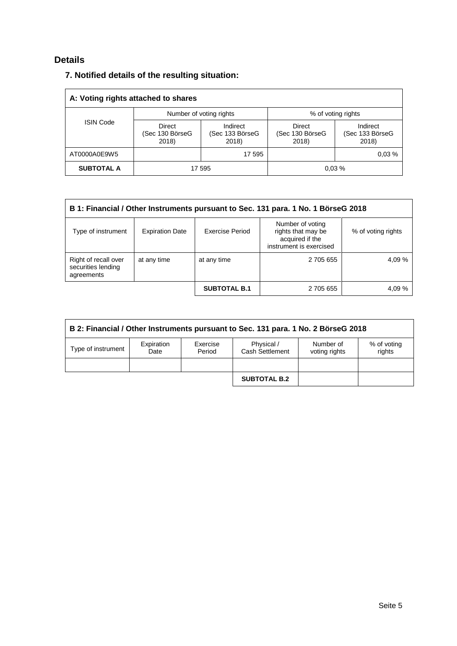# **Details**

# **7. Notified details of the resulting situation:**

| A: Voting rights attached to shares |                                    |                                      |                                    |                                      |  |  |  |
|-------------------------------------|------------------------------------|--------------------------------------|------------------------------------|--------------------------------------|--|--|--|
|                                     |                                    | Number of voting rights              | % of voting rights                 |                                      |  |  |  |
| <b>ISIN Code</b>                    | Direct<br>(Sec 130 BörseG<br>2018) | Indirect<br>(Sec 133 BörseG<br>2018) | Direct<br>(Sec 130 BörseG<br>2018) | Indirect<br>(Sec 133 BörseG<br>2018) |  |  |  |
| AT0000A0E9W5                        |                                    | 17 595                               |                                    | 0.03%                                |  |  |  |
| <b>SUBTOTAL A</b>                   |                                    | 17 595                               |                                    | 0.03%                                |  |  |  |

| B 1: Financial / Other Instruments pursuant to Sec. 131 para. 1 No. 1 BörseG 2018 |                        |                     |                                                                                      |                    |  |  |
|-----------------------------------------------------------------------------------|------------------------|---------------------|--------------------------------------------------------------------------------------|--------------------|--|--|
| Type of instrument                                                                | <b>Expiration Date</b> | Exercise Period     | Number of voting<br>rights that may be<br>acquired if the<br>instrument is exercised | % of voting rights |  |  |
| Right of recall over<br>securities lending<br>agreements                          | at any time            | at any time         | 2 705 655                                                                            | 4,09 %             |  |  |
|                                                                                   |                        | <b>SUBTOTAL B.1</b> | 2 705 655                                                                            | 4,09 %             |  |  |

| B 2: Financial / Other Instruments pursuant to Sec. 131 para. 1 No. 2 BörseG 2018 |                    |                    |                               |                            |                       |  |  |
|-----------------------------------------------------------------------------------|--------------------|--------------------|-------------------------------|----------------------------|-----------------------|--|--|
| Type of instrument                                                                | Expiration<br>Date | Exercise<br>Period | Physical /<br>Cash Settlement | Number of<br>voting rights | % of voting<br>rights |  |  |
|                                                                                   |                    |                    |                               |                            |                       |  |  |
|                                                                                   |                    |                    | <b>SUBTOTAL B.2</b>           |                            |                       |  |  |